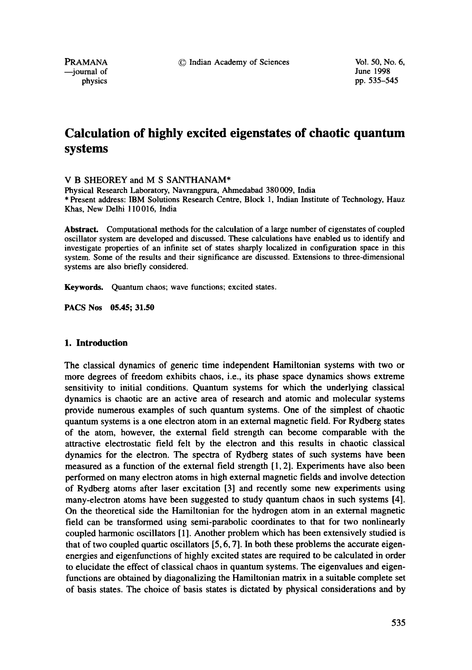PRAMANA <sup>©</sup> Indian Academy of Sciences Vol. 50, No. 6,<br>
—iournal of June 1998

--journal of<br>physics

pp. 535-545

# **Calculation of highly excited eigenstates of chaotic quantum systems**

## V B SHEOREY and M S SANTHANAM\*

Physical Research Laboratory, Navrangpura, Ahmedabad 380009, India \* Present address: IBM Solutions Research Centre, Block 1, Indian Institute of Technology, Hauz Khas, New Delhi 110016, India

Abstract. Computational methods for the calculation of a large number of eigenstates of coupled oscillator system are developed and discussed. These calculations have enabled us to identify and investigate properties of an infinite set of states sharply localized in configuration space in this system. Some of the results and their significance are discussed. Extensions to three-dimensional systems are also briefly considered.

**Keywords.** Quantum chaos; wave functions; excited states.

**PACS Nos 05.45; 31.50** 

#### **1. Introduction**

The classical dynamics of generic time independent Hamiltonian systems with two or more degrees of freedom exhibits chaos, i.e., its phase space dynamics shows extreme sensitivity to initial conditions. Quantum systems for which the underlying classical dynamics is chaotic are an active area of research and atomic and molecular systems provide numerous examples of such quantum systems. One of the simplest of chaotic quantum systems is a one electron atom in an external magnetic field. For Rydberg states of the atom, however, the external field strength can become comparable with the attractive electrostatic field felt by the electron and this results in chaotic classical dynamics for the electron. The spectra of Rydberg states of such systems have been measured as a function of the external field strength [1, 2]. Experiments have also been performed on many electron atoms in high external magnetic fields and involve detection of Rydberg atoms after laser excitation [3] and recently some new experiments using many-electron atoms have been suggested to study quantum chaos in such systems [4]. On the theoretical side the Hamiltonian for the hydrogen atom in an external magnetic field can be transformed using semi-parabolic coordinates to that for two nonlinearly coupled harmonic oscillators [1]. Another problem which has been extensively studied is that of two coupled quartic oscillators  $[5, 6, 7]$ . In both these problems the accurate eigenenergies and eigenfunctions of highly excited states are required to be calculated in order to elucidate the effect of classical chaos in quantum systems. The eigenvalues and eigenfunctions are obtained by diagonalizing the Hamiltonian matrix in a suitable complete set of basis states. The choice of basis states is dictated by physical considerations and by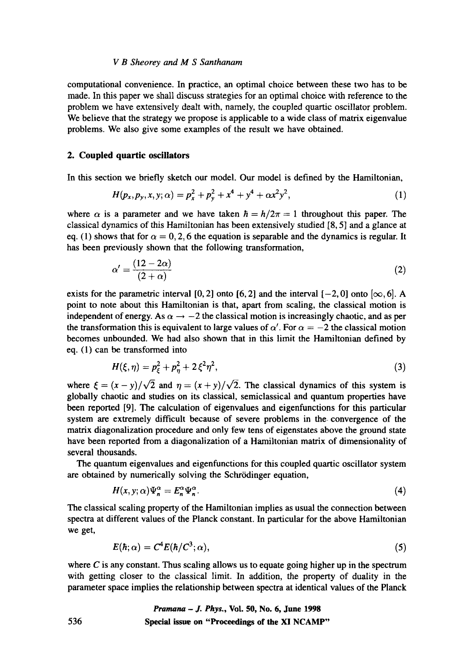#### *V B Sheorey and M S Santhanam*

computational convenience. In practice, an optimal choice between these two has to be made. In this paper we shall discuss strategies for an optimal choice with reference to the problem we have extensively dealt with, namely, the coupled quartic oscillator problem. We believe that the strategy we propose is applicable to a wide class of matrix eigenvalue problems. We also give some examples of the result we have obtained.

# **2. Coupled quartic oscillators**

In this section we briefly sketch our model. Our model is defined by the Harniltonian,

$$
H(p_x, p_y, x, y; \alpha) = p_x^2 + p_y^2 + x^4 + y^4 + \alpha x^2 y^2, \qquad (1)
$$

where  $\alpha$  is a parameter and we have taken  $\hbar = h/2\pi = 1$  throughout this paper. The classical dynamics of this Hamiltonian has been extensively studied [8, 5] and a glance at eq. (1) shows that for  $\alpha = 0, 2, 6$  the equation is separable and the dynamics is regular. It has been previously shown that the following transformation,

$$
\alpha' = \frac{(12 - 2\alpha)}{(2 + \alpha)}\tag{2}
$$

exists for the parametric interval [0, 2] onto [6, 2] and the interval  $[-2, 0]$  onto  $[\infty, 6]$ . A point to note about this Hamiltonian is that, apart from scaling, the classical motion is independent of energy. As  $\alpha \rightarrow -2$  the classical motion is increasingly chaotic, and as per the transformation this is equivalent to large values of  $\alpha'$ . For  $\alpha = -2$  the classical motion becomes unbounded. We had also shown that in this limit the Hamiltonian defined by eq. (1) can be transformed into

$$
H(\xi, \eta) = p_{\xi}^2 + p_{\eta}^2 + 2\xi^2 \eta^2, \tag{3}
$$

where  $\xi = (x - y)/\sqrt{2}$  and  $\eta = (x + y)/\sqrt{2}$ . The classical dynamics of this system is globally chaotic and studies on its classical, semiclassical and quantum properties have been reported [9]. The calculation of eigenvalues and eigenfunctions for this particular system are extremely difficult because of severe problems in the. convergence of the matrix diagonalization procedure and only few tens of eigenstates above the ground state have been reported from a diagonalization of a Hamiltonian matrix of dimensionality of several thousands.

The quantum eigenvalues and eigenfunctions for this coupled quartic oscillator system are obtained by numerically solving the Schrödinger equation,

$$
H(x, y; \alpha)\Psi_n^{\alpha} = E_n^{\alpha}\Psi_n^{\alpha}.
$$
 (4)

The classical scaling property of the Hamiltonian implies as usual the connection between spectra at different values of the Planck constant. In particular for the above Hamiltonian we get,

$$
E(\hbar; \alpha) = C^4 E(\hbar/C^3; \alpha), \qquad (5)
$$

where  $C$  is any constant. Thus scaling allows us to equate going higher up in the spectrum with getting closer to the classical limit. In addition, the property of duality in the parameter space implies the relationship between spectra at identical values of the Planck

> *Pramana - J. Phys.,* **Vol. 50, No. 6, June 1998 Special issue on "Proceedings of the XI NCAMP"**

536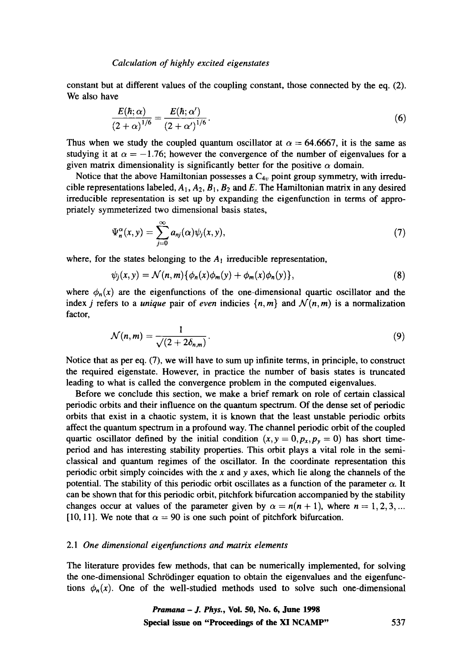constant but at different values of the coupling constant, those connected by the eq. (2). We also have

$$
\frac{E(\hbar;\alpha)}{(2+\alpha)^{1/6}} = \frac{E(\hbar;\alpha')}{(2+\alpha')^{1/6}}.
$$
\n(6)

Thus when we study the coupled quantum oscillator at  $\alpha = 64.6667$ , it is the same as studying it at  $\alpha = -1.76$ ; however the convergence of the number of eigenvalues for a given matrix dimensionality is significantly better for the positive  $\alpha$  domain.

Notice that the above Hamiltonian possesses a  $C_{4v}$  point group symmetry, with irreducible representations labeled,  $A_1$ ,  $A_2$ ,  $B_1$ ,  $B_2$  and E. The Hamiltonian matrix in any desired irreducible representation is set up by expanding the eigenfunction in terms of appropriately symmeterized two dimensional basis states,

$$
\Psi_n^{\alpha}(x, y) = \sum_{j=0}^{\infty} a_{nj}(\alpha) \psi_j(x, y), \qquad (7)
$$

where, for the states belonging to the  $A_1$  irreducible representation,

$$
\psi_j(x,y) = \mathcal{N}(n,m)\{\phi_n(x)\phi_m(y) + \phi_m(x)\phi_n(y)\},\tag{8}
$$

where  $\phi_n(x)$  are the eigenfunctions of the one-dimensional quartic oscillator and the index *j* refers to a *unique* pair of *even* indicies  $\{n, m\}$  and  $\mathcal{N}(n, m)$  is a normalization factor,

$$
\mathcal{N}(n,m)=\frac{1}{\sqrt{(2+2\delta_{n,m})}}.\tag{9}
$$

Notice that as per eq. (7), we will have to sum up infinite terms, in principle, to construct the required eigenstate. However, in practice the number of basis states is truncated leading to what is called the convergence problem in the computed eigenvalues.

Before we conclude this section, we make a brief remark on role of certain classical periodic orbits and their influence on the quantum spectrum. Of the dense set of periodic orbits that exist in a chaotic system, it is known that the least unstable periodic orbits affect the quantum spectrum in a profound way. The channel periodic orbit of the coupled quartic oscillator defined by the initial condition  $(x, y = 0, p_x, p_y = 0)$  has short timeperiod and has interesting stability properties. This orbit plays a vital role in the semiclassical and quantum regimes of the oscillator. In the coordinate representation this periodic orbit simply coincides with the x and y axes, which lie along the channels of the potential. The stability of this periodic orbit oscillates as a function of the parameter  $\alpha$ . It can be shown that for this periodic orbit, pitchfork bifurcation accompanied by the stability changes occur at values of the parameter given by  $\alpha = n(n+1)$ , where  $n=1,2,3,...$ [10, 11]. We note that  $\alpha = 90$  is one such point of pitchfork bifurcation.

#### *2.1 One dimensional eigenfunctions and matrix elements*

The literature provides few methods, that can be numerically implemented, for solving the one-dimensional Schrrdinger equation to obtain the eigenvalues and the eigenfunctions  $\phi_n(x)$ . One of the well-studied methods used to solve such one-dimensional

> *Pramana - J. Phys.,* **Vol. 50, No. 6, June 1998 Special issue on "Proceedings of the XI NCAMP"** 537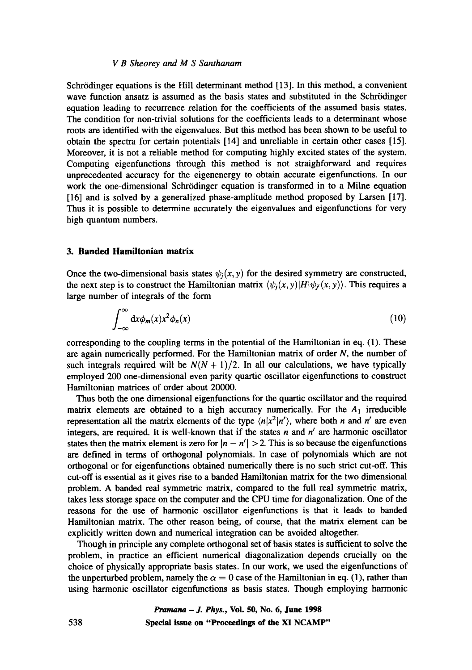#### *V B Sheorey and M S Santhanam*

Schrödinger equations is the Hill determinant method [13]. In this method, a convenient wave function ansatz is assumed as the basis states and substituted in the Schrödinger equation leading to recurrence relation for the coefficients of the assumed basis states. The condition for non-trivial solutions for the coefficients leads to a determinant whose roots are identified with the eigenvalues. But this method has been shown to be useful to obtain the spectra for certain potentials [14] and unreliable in certain other cases [15]. Moreover, it is not a reliable method for computing highly excited states of the system. Computing eigenfunctions through this method is not straighforward and requires unprecedented accuracy for the eigenenergy to obtain accurate eigenfunctions. In our work the one-dimensional Schrödinger equation is transformed in to a Milne equation [16] and is solved by a generalized phase-amplitude method proposed by Larsen [17]. Thus it is possible to determine accurately the eigenvalues and eigenfunctions for very high quantum numbers.

## **3. Banded Hamiitonian matrix**

Once the two-dimensional basis states  $\psi_i(x, y)$  for the desired symmetry are constructed, the next step is to construct the Hamiltonian matrix  $\langle \psi_i(x, y) | H | \psi_i(x, y) \rangle$ . This requires a large number of integrals of the form

$$
\int_{-\infty}^{\infty} \mathrm{d}x \phi_m(x) x^2 \phi_n(x) \tag{10}
$$

corresponding to the coupling terms in the potential of the Hamiltonian in eq. (1). These are again numerically performed. For the Hamiltonian matrix of order  $N$ , the number of such integrals required will be  $N(N + 1)/2$ . In all our calculations, we have typically employed 200 one-dimensional even parity quartic oscillator eigenfunctions to construct Hamiltonian matrices of order about 20000.

Thus both the one dimensional eigenfunctions for the quartic oscillator and the required matrix elements are obtained to a high accuracy numerically. For the  $A_1$  irreducible representation all the matrix elements of the type  $\langle n|x^2|n'\rangle$ , where both n and n' are even integers, are required. It is well-known that if the states  $n$  and  $n'$  are harmonic oscillator states then the matrix element is zero for  $|n - n'| > 2$ . This is so because the eigenfunctions are defined in terms of orthogonal polynomials. In case of polynomials which are not orthogonal or for eigenfunctions obtained numerically there is no such strict cut-off. This cut-off is essential as it gives rise to a banded Hamiltonian matrix for the two dimensional problem. A banded real symmetric matrix, compared to the full real symmetric matrix, takes less storage space on the computer and the CPU time for diagonalization. One of the reasons for the use of harmonic oscillator eigenfunctions is that it leads to banded Hamiltonian matrix. The other reason being, of course, that the matrix element can be explicitly written down and numerical integration can be avoided altogether.

Though in principle any complete orthogonal set of basis states is sufficient to solve the problem, in practice an efficient numerical diagonalization depends crucially on the choice of physically appropriate basis states. In our work, we used the eigenfunctions of the unperturbed problem, namely the  $\alpha = 0$  case of the Hamiltonian in eq. (1), rather than using harmonic oscillator eigenfunctions as basis states. Though employing harmonic

*Pramana - J. Phys.,* **Vol. 50, No. 6, June 1998 538 Special issue on "Proceedings of the XI NCAMP"**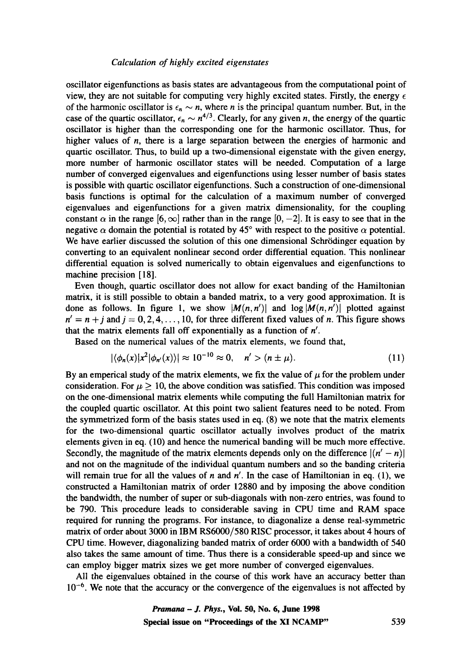oscillator eigenfunctions as basis states are advantageous from the computational point of view, they are not suitable for computing very highly excited states. Firstly, the energy  $\epsilon$ of the harmonic oscillator is  $\epsilon_n \sim n$ , where n is the principal quantum number. But, in the case of the quartic oscillator,  $\epsilon_n \sim n^{4/3}$ . Clearly, for any given n, the energy of the quartic oscillator is higher than the corresponding one for the harmonic oscillator. Thus, for higher values of *n*, there is a large separation between the energies of harmonic and quartic oscillator. Thus, to build up a two-dimensional eigenstate with the given energy, more number of harmonic oscillator states will be needed. Computation of a large number of converged eigenvalues and eigenfunctions using lesser number of basis states is possible with quartic oscillator eigenfunctions. Such a construction of one-dimensional basis functions is optimal for the calculation of a maximum number of converged eigenvalues and eigenfunctions for a given matrix dimensionality, for the coupling constant  $\alpha$  in the range  $[6, \infty]$  rather than in the range  $[0, -2]$ . It is easy to see that in the negative  $\alpha$  domain the potential is rotated by 45° with respect to the positive  $\alpha$  potential. We have earlier discussed the solution of this one dimensional Schrödinger equation by converting to an equivalent nonlinear second order differential equation. This nonlinear differential equation is solved numerically to obtain eigenvalues and eigenfunctions to machine precision [18].

Even though, quartic oscillator does not allow for exact banding of the Hamiltonian matrix, it is still possible to obtain a banded matrix, to a very good approximation. It is done as follows. In figure 1, we show  $|M(n, n')|$  and  $log |M(n, n')|$  plotted against  $n' = n + j$  and  $j = 0, 2, 4, \ldots, 10$ , for three different fixed values of n. This figure shows that the matrix elements fall off exponentially as a function of *n'.* 

Based on the numerical values of the matrix elements, we found that,

$$
|\langle \phi_n(x) | x^2 | \phi_{n'}(x) \rangle| \approx 10^{-10} \approx 0, \quad n' > (n \pm \mu). \tag{11}
$$

By an emperical study of the matrix elements, we fix the value of  $\mu$  for the problem under consideration. For  $\mu \geq 10$ , the above condition was satisfied. This condition was imposed on the one-dimensional matrix elements while computing the full Hamiltonian matrix for the coupled quartic oscillator. At this point two salient features need to be noted. From the symmetrized form of the basis states used in eq. (8) we note that the matrix elements for the two-dimensional quartic oscillator actually involves product of the matrix elements given in eq. (10) and hence the numerical banding will be much more effective. Secondly, the magnitude of the matrix elements depends only on the difference  $|(n'-n)|$ and not on the magnitude of the individual quantum numbers and so the banding criteria will remain true for all the values of n and  $n'$ . In the case of Hamiltonian in eq. (1), we constructed a Hamiltonian matrix of order 12880 and by imposing the above condition the bandwidth, the number of super or sub-diagonals with non-zero entries, was found to be 790. This procedure leads to considerable saving in CPU time and RAM space required for running the programs. For instance, to diagonalize a dense real-symmetric matrix of order about 3000 in IBM RS6000/580 RISC processor, it takes about 4 hours of CPU time. However, diagonalizing banded matrix of order 6000 with a bandwidth of 540 also takes the same amount of time. Thus there is a considerable speed-up and since we can employ bigger matrix sizes we get more number of converged eigenvalues.

All the eigenvalues obtained in the course of this work have an accuracy better than  $10^{-6}$ . We note that the accuracy or the convergence of the eigenvalues is not affected by

> *Pramana - J. Phys.,* **Vol. 50, No. 6, June 1998 Special issue on "Proceedings of the XI NCAMP"** 539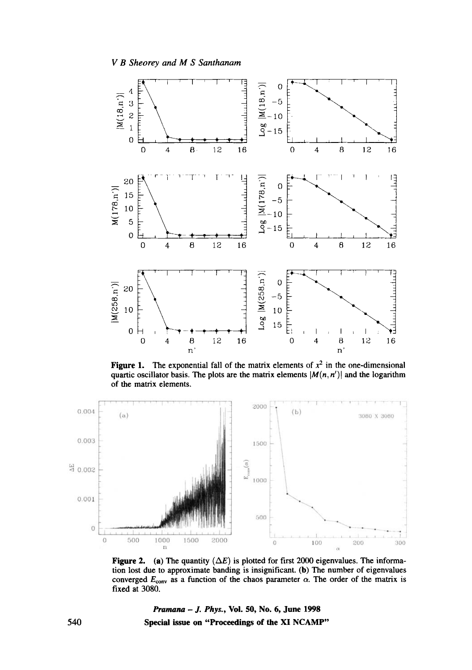



Figure 1. The exponential fall of the matrix elements of  $x^2$  in the one-dimensional quartic oscillator basis. The plots are the matrix elements  $|M(n, n')|$  and the logarithm of the matrix elements.



Figure 2. (a) The quantity  $(\Delta E)$  is plotted for first 2000 eigenvalues. The information lost due to approximate banding is insignificant. (b) The number of eigenvalues converged  $E_{\text{conv}}$  as a function of the chaos parameter  $\alpha$ . The order of the matrix is fixed at 3080.

*Pranmna - J. Phys.,* **Vol. 50, No. 6, June 1998 Special issue on "Proceedings of the XI NCAMP"** 

540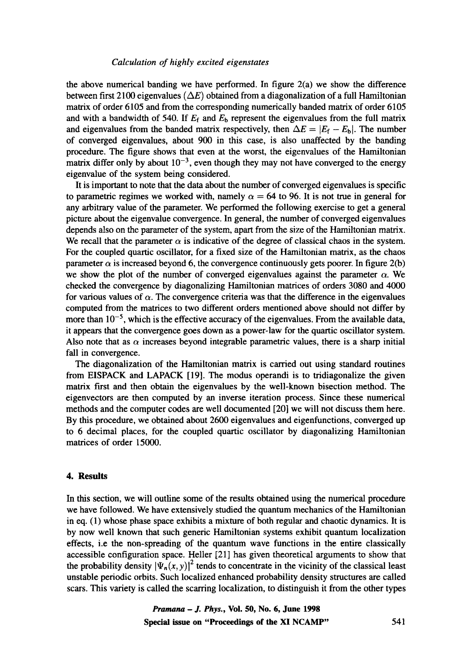the above numerical banding we have performed. In figure  $2(a)$  we show the difference between first 2100 eigenvalues ( $\Delta E$ ) obtained from a diagonalization of a full Hamiltonian matrix of order 6105 and from the corresponding numerically banded matrix of order 6105 and with a bandwidth of 540. If  $E_f$  and  $E_b$  represent the eigenvalues from the full matrix and eigenvalues from the banded matrix respectively, then  $\Delta E = |E_f - E_b|$ . The number of converged eigenvalues, about 900 in this case, is also unaffected by the banding procedure. The figure shows that even at the worst, the eigenvalues of the Hamiltonian matrix differ only by about  $10^{-3}$ , even though they may not have converged to the energy eigenvalue of the system being considered.

It is important to note that the data about the number of converged eigenvalues is specific to parametric regimes we worked with, namely  $\alpha = 64$  to 96. It is not true in general for any arbitrary value of the parameter. We performed the following exercise to get a general picture about the eigenvalue convergence. In general, the number of converged eigenvalues depends also on the parameter of the system, apart from the size of the Hamiltonian matrix. We recall that the parameter  $\alpha$  is indicative of the degree of classical chaos in the system. For the coupled quartic oscillator, for a fixed size of the Hamiltonian matrix, as the chaos parameter  $\alpha$  is increased beyond 6, the convergence continuously gets poorer. In figure 2(b) we show the plot of the number of converged eigenvalues against the parameter  $\alpha$ . We checked the convergence by diagonalizing Hamiltonian matrices of orders 3080 and 4000 for various values of  $\alpha$ . The convergence criteria was that the difference in the eigenvalues computed from the matrices to two different orders mentioned above should not differ by more than  $10^{-5}$ , which is the effective accuracy of the eigenvalues. From the available data, it appears that the convergence goes down as a power-law for the quartic oscillator system. Also note that as  $\alpha$  increases beyond integrable parametric values, there is a sharp initial fall in convergence.

The diagonalization of the Hamiltonian matrix is carried out using standard routines from EISPACK and LAPACK [19]. The modus operandi is to tridiagonalize the given matrix first and then obtain the eigenvalues by the well-known bisection method. The eigenvectors are then computed by an inverse iteration process. Since these numerical methods and the computer codes are well documented [20] we will not discuss them here. By this procedure, we obtained about 2600 eigenvalues and eigenfunctions, converged up to 6 decimal places, for the coupled quartic oscillator by diagonalizing Hamiltonian matrices of order 15000.

## **4. Results**

In this section, we will outline some of the results obtained using the numerical procedure we have followed. We have extensively studied the quantum mechanics of the Hamiltonian in eq. (1) whose phase space exhibits a mixture of both regular and chaotic dynamics. It is by now well known that such generic Hamiltonian systems exhibit quantum localization effects, i.e the non-spreading of the quantum wave functions in the entire classically accessible configuration space. Heller [21] has given theoretical arguments to show that the probability density  $|\Psi_n(x, y)|^2$  tends to concentrate in the vicinity of the classical least unstable periodic orbits. Such localized enhanced probability density structures are called scars. This variety is called the scarring localization, to distinguish it from the other types

> *Pramana - J. Phys.,* **Vol. 50, No. 6, June 1998 Special issue on "Proceedings of the XI NCAMP"** 541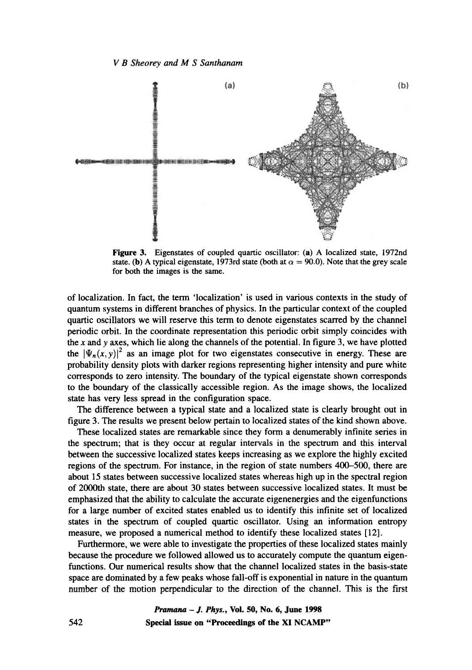

Figure 3. Eigenstates of coupled quartic oscillator: (a) A localized state, 1972nd state. (b) A typical eigenstate, 1973rd state (both at  $\alpha = 90.0$ ). Note that the grey scale for both the images is the same.

of localization. In fact, the term 'localization' is used in various contexts in the study of quantum systems in different branches of physics. In the particular context of the coupled quartic oscillators we will reserve this term to denote eigenstates scarred by the channel periodic orbit. In the coordinate representation this periodic orbit simply coincides with the x and y axes, which lie along the channels of the potential. In figure 3, we have plotted the  $|\Psi_n(x, y)|^2$  as an image plot for two eigenstates consecutive in energy. These are probability density plots with darker regions representing higher intensity and pure white corresponds to zero intensity. The boundary of the typical eigenstate shown corresponds to the boundary of the classically accessible region. As the image shows, the localized state has very less spread in the configuration space.

The difference between a typical state and a localized state is clearly brought out in figure 3. The results we present below pertain to localized states of the kind shown above.

These localized states are remarkable since they form a denumerably infinite series in the spectrum; that is they occur at regular intervals in the spectrum and this interval between the successive localized states keeps increasing as we explore the highly excited regions of the spectrum. For instance, in the region of state numbers 400-500, there are about 15 states between successive localized states whereas high up in the spectral region of 2000th state, there are about 30 states between successive localized states. It must be emphasized that the ability to calculate the accurate eigenenergies and the eigenfunctions for a large number of excited states enabled us to identify this infinite set of localized states in the spectrum of coupled quartic oscillator. Using an information entropy measure, we proposed a numerical method to identify these localized states [12].

Furthermore, we were able to investigate the properties of these localized states mainly because the procedure we followed allowed us to accurately compute the quantum eigenfunctions. Our numerical results show that the channel localized states in the basis-state space are dominated by a few peaks whose fall-off is exponential in nature in the quantum number of the motion perpendicular to the direction of the channel. This is the first

> *Pranmna - J. Phys.,* **Vol. 50, No. 6, June 1998 Special issue on "Proceedings of the XI NCAMP"**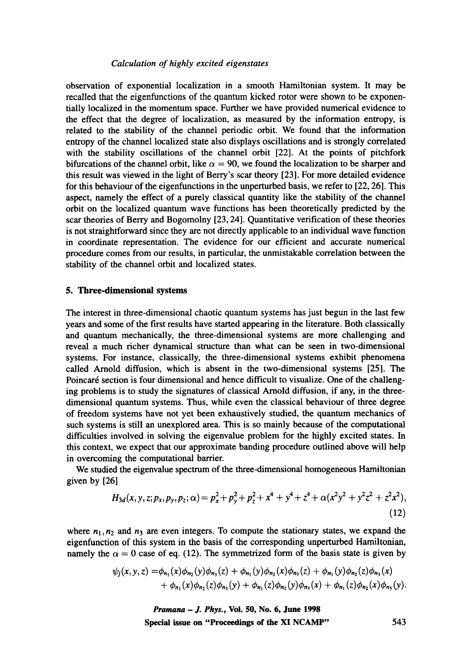observation of exponential localization in a smooth Hamiltonian system. It may be recalled that the eigenfunctions of the quantum kicked rotor were shown to be exponentially localized in the momentum space. Further we have provided numerical evidence to the effect that the degree of localization, as measured by the information entropy, is related to the stability of the channel periodic orbit. We found that the information entropy of the channel localized state also displays oscillations and is strongly correlated with the stability oscillations of the channel orbit [22]. At the points of pitchfork bifurcations of the channel orbit, like  $\alpha = 90$ , we found the localization to be sharper and this result was viewed in the light of Berry's scar theory [23]. For more detailed evidence for this behaviour of the eigenfunctions in the unperturbed basis, we refer to [22, 26]. This aspect, namely the effect of a purely classical quantity like the stability of the channel orbit on the localized quantum wave functions has been theoretically predicted by the scar theories of Berry and Bogomolny [23, 24]. Quantitative verification of these theories is not straightforward since they are not directly applicable to an individual wave function in coordinate representation. The evidence for our efficient and accurate numerical procedure comes from our results, in particular, the unmistakable correlation between the stability of the channel orbit and localized states.

## **5. Three-dimensional systems**

The interest in three-dimensional chaotic quantum systems has just begun in the last few years and some of the first results have started appearing in the literature. Both classically and quantum mechanically, the three-dimensional systems are more challenging and reveal a much richer dynamical structure than what can be seen in two-dimensional systems. For instance, classically, the three-dimensional systems exhibit phenomena called Arnold diffusion, which is absent in the two-dimensional systems [25]. The Poincaré section is four dimensional and hence difficult to visualize. One of the challenging problems is to study the signatures of classical Arnold diffusion, if any, in the threedimensional quantum systems. Thus, while even the classical behaviour of three degree of freedom systems have not yet been exhaustively studied, the quantum mechanics of such systems is still an unexplored area. This is so mainly because of the computational difficulties involved in solving the eigenvalue problem for the highly excited states. In this context, we expect that our approximate banding procedure outlined above will help in overcoming the computational barrier.

We studied the eigenvalue spectrum of the three-dimensional homogeneous Hamiltonian given by [26]

$$
H_{3d}(x, y, z; p_x, p_y, p_z; \alpha) = p_x^2 + p_y^2 + p_z^2 + x^4 + y^4 + z^4 + \alpha (x^2 y^2 + y^2 z^2 + z^2 x^2),
$$
\n(12)

where  $n_1, n_2$  and  $n_3$  are even integers. To compute the stationary states, we expand the eigenfunction of this system in the basis of the corresponding unperturbed Hamiltonian, namely the  $\alpha = 0$  case of eq. (12). The symmetrized form of the basis state is given by

$$
\psi_j(x, y, z) = \phi_{n_1}(x)\phi_{n_2}(y)\phi_{n_3}(z) + \phi_{n_1}(y)\phi_{n_2}(x)\phi_{n_3}(z) + \phi_{n_1}(y)\phi_{n_2}(z)\phi_{n_3}(x) + \phi_{n_1}(x)\phi_{n_2}(z)\phi_{n_3}(y) + \phi_{n_1}(z)\phi_{n_2}(y)\phi_{n_3}(x) + \phi_{n_1}(z)\phi_{n_2}(x)\phi_{n_3}(y).
$$

*Pramana - J. Phys.,* **Voi. 50, No. 6, June 1998 Special issue on "Proceedings of the XI NCAMP"** 543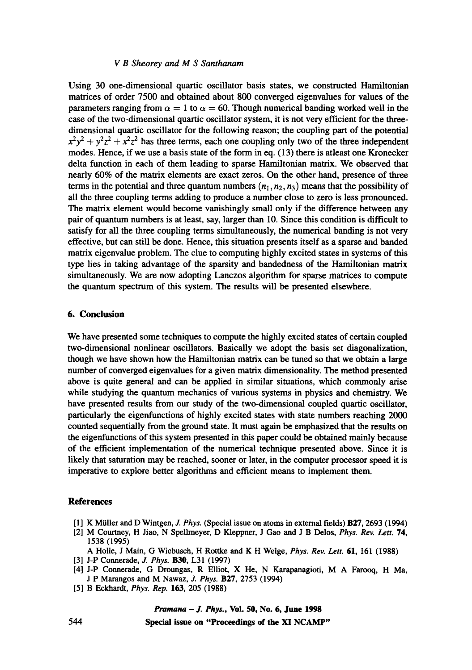#### *V B Sheorey and M S Santhanam*

Using 30 one-dimensional quartic oscillator basis states, we constructed Hamiltonian matrices of order 7500 and obtained about 800 converged eigenvalues for values of the parameters ranging from  $\alpha = 1$  to  $\alpha = 60$ . Though numerical banding worked well in the case of the two-dimensional quartic oscillator system, it is not very efficient for the threedimensional quartic oscillator for the following reason; the coupling part of the potential  $x^2y^2 + y^2z^2 + x^2z^2$  has three terms, each one coupling only two of the three independent modes. Hence, if we use a basis state of the form in eq. (13) there is atleast one Kronecker delta function in each of them leading to sparse Hamiltonian matrix. We observed that nearly 60% of the matrix elements are exact zeros. On the other hand, presence of three terms in the potential and three quantum numbers  $(n_1, n_2, n_3)$  means that the possibility of all the three coupling terms adding to produce a number close to zero is less pronounced. The matrix element would become vanishingly small only if the difference between any pair of quantum numbers is at least, say, larger than 10. Since this condition is difficult to satisfy for all the three coupling terms simultaneously, the numerical banding is not very effective, but can still be done. Hence, this situation presents itself as a sparse and banded matrix eigenvalue problem. The clue to computing highly excited states in systems of this type lies in taking advantage of the sparsity and bandedness of the Hamiltonian matrix simultaneously. We are now adopting Lanczos algorithm for sparse matrices to compute the quantum spectrum of this system. The results will be presented elsewhere.

## **6. Conclusion**

We have presented some techniques to compute the highly excited states of certain coupled two-dimensional nonlinear oscillators. Basically we adopt the basis set diagonalization, though we have shown how the Hamiltonian matrix can be tuned so that we obtain a large number of converged eigenvalues for a given matrix dimensionality. The method presented above is quite general and can be applied in similar situations, which commonly arise while studying the quantum mechanics of various systems in physics and chemistry. We have presented results from our study of the two-dimensional coupled quartic oscillator, particularly the eigenfunctions of highly excited states with state numbers reaching 2000 counted sequentially from the ground state. It must again be emphasized that the results on the eigenfunctions of this system presented in this paper could be obtained mainly because of the efficient implementation of the numerical technique presented above. Since it is likely that saturation may be reached, sooner or later, in the computer processor speed it is imperative to explore better algorithms and efficient means to implement them.

# **References**

- [1] K Miiller and D Wintgen, *J. Phys.* (Special issue on atoms in external fields) B27, 2693 (1994)
- [2] M Courtney, H Jiao, N Spellmeyer, D Kleppner, J Gao and J B Delos, *Phys. Rev. Lett.* 74, 1538 (1995)

A Holle, J Main, G Wiebusch, H Rottke and K H Welge, *Phys. Rev. Lett. 61,* 161 (1988)

- [3] J-P Connerade, *J. Phys.* B30, L31 (1997)
- [4] J-P Connerade, G Droungas, R Elliot, X He, N Karapanagioti, M A Farooq, H Ma, J P Marangos and M Nawaz, *J. Phys.* B27, 2753 (1994)
- [5] B Eckhardt, *Phys. Rep.* 163, 205 (1988)

*Pramana - J. Phys.,* **Vol. 50, No. 6, June 1998** 

**Special issue on "Proceedings of the XI NCAMP"**